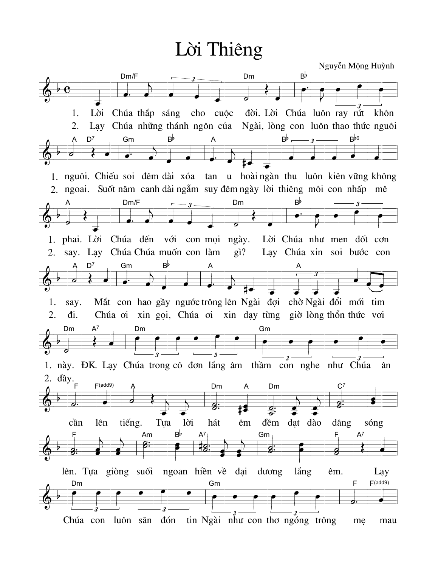Lời Thiêng